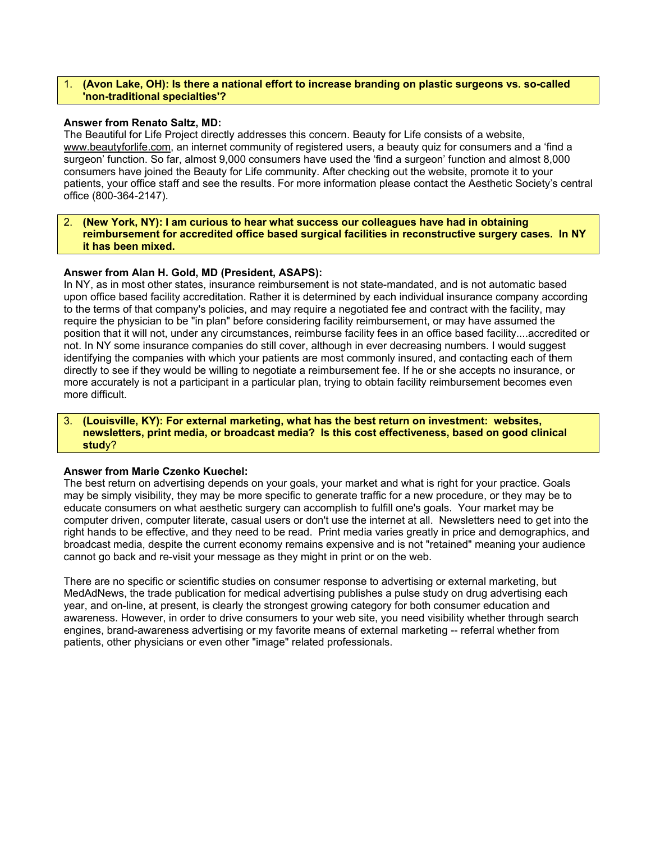#### 1. **(Avon Lake, OH): Is there a national effort to increase branding on plastic surgeons vs. so-called 'non-traditional specialties'?**

## **Answer from Renato Saltz, MD:**

The Beautiful for Life Project directly addresses this concern. Beauty for Life consists of a website, www.beautyforlife.com, an internet community of registered users, a beauty quiz for consumers and a 'find a surgeon' function. So far, almost 9,000 consumers have used the 'find a surgeon' function and almost 8,000 consumers have joined the Beauty for Life community. After checking out the website, promote it to your patients, your office staff and see the results. For more information please contact the Aesthetic Society's central office (800-364-2147).

# 2. **(New York, NY): I am curious to hear what success our colleagues have had in obtaining reimbursement for accredited office based surgical facilities in reconstructive surgery cases. In NY it has been mixed.**

## **Answer from Alan H. Gold, MD (President, ASAPS):**

In NY, as in most other states, insurance reimbursement is not state-mandated, and is not automatic based upon office based facility accreditation. Rather it is determined by each individual insurance company according to the terms of that company's policies, and may require a negotiated fee and contract with the facility, may require the physician to be "in plan" before considering facility reimbursement, or may have assumed the position that it will not, under any circumstances, reimburse facility fees in an office based facility....accredited or not. In NY some insurance companies do still cover, although in ever decreasing numbers. I would suggest identifying the companies with which your patients are most commonly insured, and contacting each of them directly to see if they would be willing to negotiate a reimbursement fee. If he or she accepts no insurance, or more accurately is not a participant in a particular plan, trying to obtain facility reimbursement becomes even more difficult.

# 3. **(Louisville, KY): For external marketing, what has the best return on investment: websites, newsletters, print media, or broadcast media? Is this cost effectiveness, based on good clinical stud**y?

## **Answer from Marie Czenko Kuechel:**

The best return on advertising depends on your goals, your market and what is right for your practice. Goals may be simply visibility, they may be more specific to generate traffic for a new procedure, or they may be to educate consumers on what aesthetic surgery can accomplish to fulfill one's goals. Your market may be computer driven, computer literate, casual users or don't use the internet at all. Newsletters need to get into the right hands to be effective, and they need to be read. Print media varies greatly in price and demographics, and broadcast media, despite the current economy remains expensive and is not "retained" meaning your audience cannot go back and re-visit your message as they might in print or on the web.

There are no specific or scientific studies on consumer response to advertising or external marketing, but MedAdNews, the trade publication for medical advertising publishes a pulse study on drug advertising each year, and on-line, at present, is clearly the strongest growing category for both consumer education and awareness. However, in order to drive consumers to your web site, you need visibility whether through search engines, brand-awareness advertising or my favorite means of external marketing -- referral whether from patients, other physicians or even other "image" related professionals.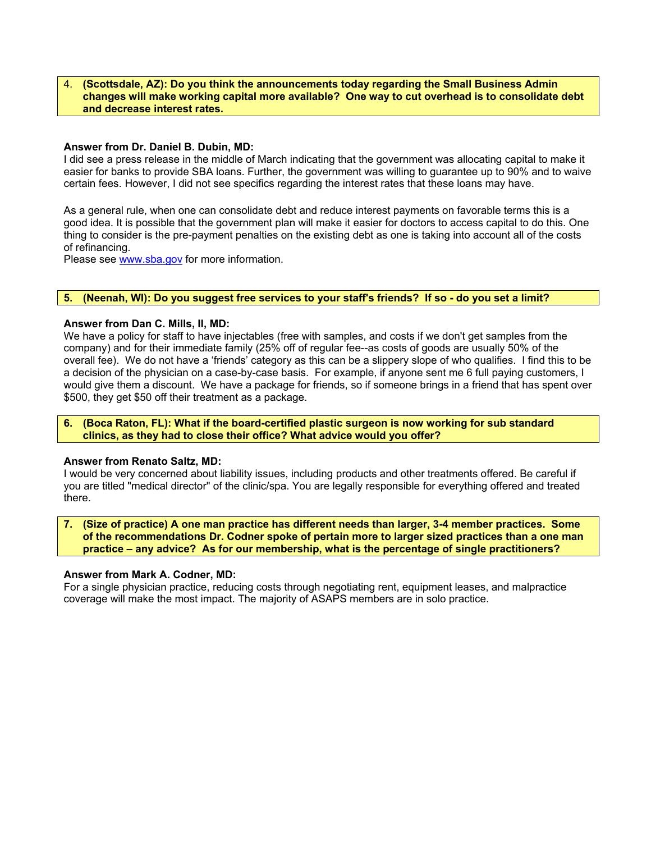#### 4. **(Scottsdale, AZ): Do you think the announcements today regarding the Small Business Admin changes will make working capital more available? One way to cut overhead is to consolidate debt and decrease interest rates.**

## **Answer from Dr. Daniel B. Dubin, MD:**

I did see a press release in the middle of March indicating that the government was allocating capital to make it easier for banks to provide SBA loans. Further, the government was willing to guarantee up to 90% and to waive certain fees. However, I did not see specifics regarding the interest rates that these loans may have.

As a general rule, when one can consolidate debt and reduce interest payments on favorable terms this is a good idea. It is possible that the government plan will make it easier for doctors to access capital to do this. One thing to consider is the pre-payment penalties on the existing debt as one is taking into account all of the costs of refinancing.

Please see www.sba.gov for more information.

# **5. (Neenah, WI): Do you suggest free services to your staff's friends? If so - do you set a limit?**

#### **Answer from Dan C. Mills, II, MD:**

We have a policy for staff to have injectables (free with samples, and costs if we don't get samples from the company) and for their immediate family (25% off of regular fee--as costs of goods are usually 50% of the overall fee). We do not have a 'friends' category as this can be a slippery slope of who qualifies. I find this to be a decision of the physician on a case-by-case basis. For example, if anyone sent me 6 full paying customers, I would give them a discount. We have a package for friends, so if someone brings in a friend that has spent over \$500, they get \$50 off their treatment as a package.

## **6. (Boca Raton, FL): What if the board-certified plastic surgeon is now working for sub standard clinics, as they had to close their office? What advice would you offer?**

#### **Answer from Renato Saltz, MD:**

I would be very concerned about liability issues, including products and other treatments offered. Be careful if you are titled "medical director" of the clinic/spa. You are legally responsible for everything offered and treated there.

**7. (Size of practice) A one man practice has different needs than larger, 3-4 member practices. Some of the recommendations Dr. Codner spoke of pertain more to larger sized practices than a one man practice – any advice? As for our membership, what is the percentage of single practitioners?** 

#### **Answer from Mark A. Codner, MD:**

For a single physician practice, reducing costs through negotiating rent, equipment leases, and malpractice coverage will make the most impact. The majority of ASAPS members are in solo practice.